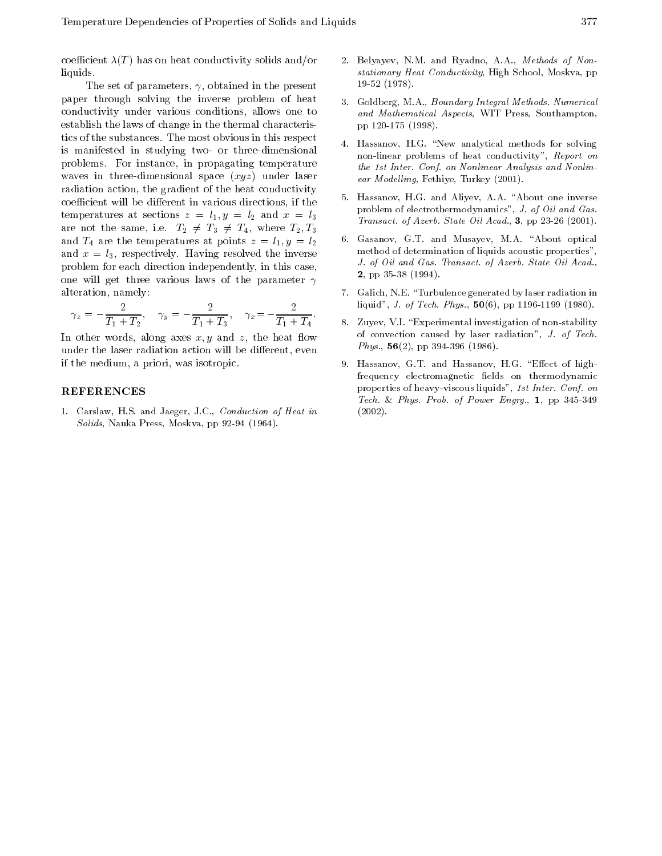coefficient  $\lambda(T)$  has on heat conductivity solids and/or liquids.

The set of parameters,  $\gamma$ , obtained in the present paper through solving the inverse problem of heat conductivity under various conditions, allows one to establish the laws of change in the thermal characteristics of the substances. The most obvious in this respect is manifested in studying two- or three-dimensional problems. For instance, in propagating temperature waves in three-dimensional space  $(xyz)$  under laser radiation action, the gradient of the heat conductivity coefficient will be different in various directions, if the temperatures at sections  $z = l_1, y = l_2$  and  $x = l_3$ are not the same, i.e.  $T_2 \neq T_3 \neq T_4$ , where  $T_2, T_3$ and  $T_4$  are the temperatures at points  $z = l_1, y = l_2$ and  $x = l_3$ , respectively. Having resolved the inverse problem for each direction independently, in this case, one will get three various laws of the parameter  $\gamma$ alteration, namely:

$$
\gamma_z = \frac{2}{T_1 + T_2}, \quad \gamma_y = \frac{2}{T_1 + T_3}, \quad \gamma_x = \frac{2}{T_1 + T_4}.
$$

In other words, along axes  $x, y$  and  $z$ , the heat flow under the laser radiation action will be different, even if the medium, a priori, was isotropic.

### REFERENCES

1. Carslaw, H.S. and Jaeger, J.C., Conduction of Heat in Solids, Nauka Press, Moskva, pp 92-94 (1964).

- 2. Belyayev, N.M. and Ryadno, A.A., Methods of Nonstationary Heat Conductivity, High School, Moskva, pp 19-52 (1978).
- 3. Goldberg, M.A., Boundary Integral Methods. Numerical and Mathematical Aspects, WIT Press, Southampton, pp 120-175 (1998).
- 4. Hassanov, H.G. "New analytical methods for solving non-linear problems of heat conductivity", Report on the 1st Inter. Conf. on Nonlinear Analysis and Nonlin ear Modelling, Fethiye, Turkey (2001).
- 5. Hassanov, H.G. and Aliyev, A.A. "About one inverse problem of electrothermodynamics", J. of Oil and Gas. Transact. of Azerb. State Oil Acad., 3, pp 23-26 (2001).
- 6. Gasanov, G.T. and Musayev, M.A. "About optical method of determination of liquids acoustic properties", J. of Oil and Gas. Transact. of Azerb. State Oil Acad., 2, pp 35-38 (1994).
- 7. Galich, N.E. "Turbulence generated by laser radiation in liquid", *J. of Tech. Phys.*,  $50(6)$ , pp 1196-1199 (1980).
- $T_1 + T_4$  8. Zuyev, V.I. "Experimental investigation of non-stability of convection caused by laser radiation", J. of Tech. Phys.,  $\mathbf{56}(2)$ , pp 394-396 (1986).
	- 9. Hassanov, G.T. and Hassanov, H.G. "Effect of highfrequency electromagnetic fields on thermodynamic properties of heavy-viscous liquids", 1st Inter. Conf. on Tech. & Phys. Prob. of Power Engrg., 1, pp 345-349 (2002).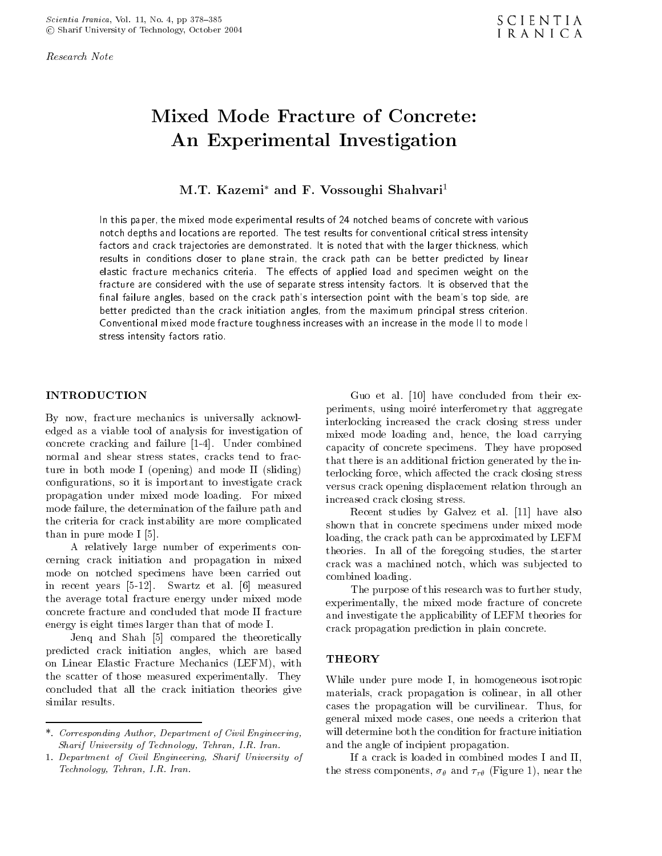Research Note

# Mixed Mode Fracture of Concrete: An Experimental Investigation

M.I. Kazemi and F. Vossoughi Shahvari<sup>-</sup>

In this paper, the mixed mode experimental results of 24 notched beams of concrete with various notch depths and locations are reported. The test results for conventional critical stress intensity factors and crack trajectories are demonstrated. It is noted that with the larger thickness, which results in conditions closer to plane strain, the crack path can be better predicted by linear elastic fracture mechanics criteria. The eects of applied load and specimen weight on the fracture are considered with the use of separate stress intensity factors. It is observed that the final failure angles, based on the crack path's intersection point with the beam's top side, are better predicted than the crack initiation angles, from the maximum principal stress criterion. Conventional mixed mode fracture toughness increases with an increase in the mode II to mode I stress intensity factors ratio.

#### INTRODUCTION

By now, fracture mechanics is universally acknowledged as <sup>a</sup> viable tool of analysis for investigation of concrete cracking and failure [1-4]. Under combined normal and shear stress states, cracks tend to fracture in both mode <sup>I</sup> (opening) and mode II (sliding) configurations, so it is important to investigate crack propagation under mixed mode loading. For mixed mode failure, the determination of the failure path and the criteria for crack instability are more complicated than in pure mode I [5].

<sup>A</sup> relatively large number of experiments concerning crack initiation and propagation in mixed mode on notched specimens have been carried out in recent years [5-12]. Swartz et al. [6] measured the average total fracture energy under mixed mode concrete fracture and concluded that mode II fracture energy is eight times larger than that of mode I.

Jenq and Shah [5] compared the theoretically predicted crack initiation angles, which are based on Linear Elastic Fracture Mechanics (LEFM), with the scatter of those measured experimentally. They concluded that all the crack initiation theories give similar results.

Guo et al. [10] have concluded from their experiments, using moire interferometry that aggregate interlocking increased the crack closing stress under mixed mode loading and, hence, the load carrying capacity of concrete specimens. They have proposed that there is an additional friction generated by the interlocking force, which affected the crack closing stress versus crack opening displacement relation through an increased crack closing stress.

Recent studies by Galvez et al. [11] have also shown that in concrete specimens under mixed mode loading, the crack path can be approximated by LEFM theories. In all of the foregoing studies, the starter crack was <sup>a</sup> machined notch, which was sub jected to combined loading.

The purpose of this research was to further study, experimentally, the mixed mode fracture of concrete and investigate the applicability of LEFM theories for crack propagation prediction in plain concrete.

## **THEORY**

While under pure mode I, in homogeneous isotropic materials, crack propagation is colinear, in all other cases the propagation will be curvilinear. Thus, for general mixed mode cases, one needs <sup>a</sup> criterion that will determine both the condition for fracture initiation and the angle of incipient propagation.

If a crack is loaded in combined modes I and II, the stress components,  $\sigma_{\theta}$  and  $\tau_{r\theta}$  (Figure 1), near the

<sup>\*.</sup> Corresponding Author, Department of Civil Engineering, Sharif University of Technology, Tehran, I.R. Iran.

<sup>1.</sup> Department of Civil Engineering, Sharif University of Technology, Tehran, I.R. Iran.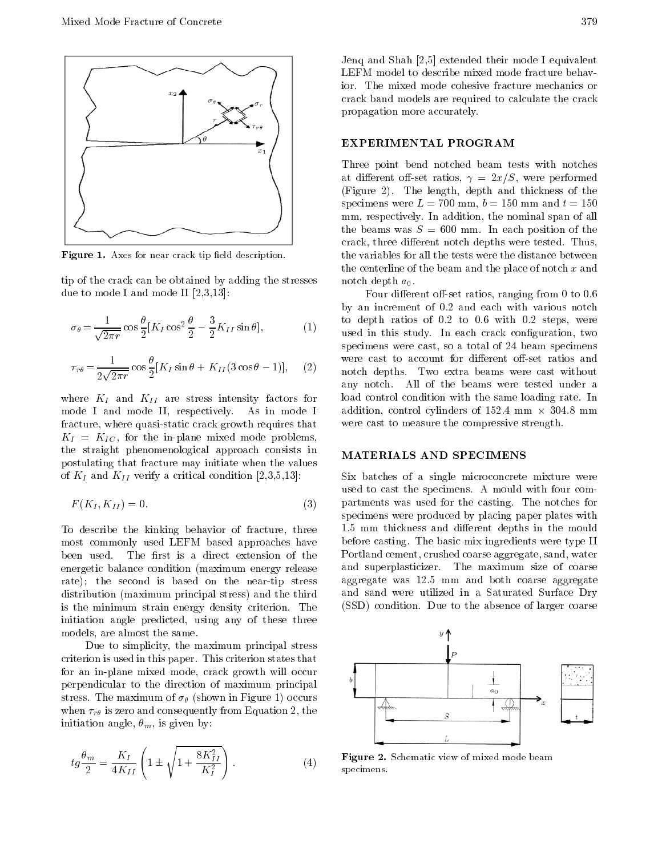

Figure 1. Axes for near crack tip eld description.

tip of the crack can be obtained by adding the stresses due to mode I and mode II [2,3,13]:

$$
\sigma_{\theta} = \frac{1}{\sqrt{2\pi r}} \cos \frac{\theta}{2} [K_I \cos^2 \frac{\theta}{2} - \frac{3}{2} K_{II} \sin \theta],
$$
 (1)

$$
\tau_{r\theta} = \frac{1}{2\sqrt{2\pi r}} \cos\frac{\theta}{2} [K_I \sin\theta + K_{II}(3\cos\theta - 1)], \quad (2) \quad \frac{\pi}{n}
$$

where  $K_I$  and  $K_{II}$  are stress intensity factors for mode <sup>I</sup> and mode II, respectively. As in mode <sup>I</sup> fracture, where quasi-static crack growth requires that  $K_I = K_{IC}$ , for the in-plane mixed mode problems, the straight phenomenological approach consists in postulating that fracture may initiate when the values of  $K_I$  and  $K_{II}$  verify a critical condition [2,3,5,13]:

$$
F(K_I, K_{II}) = 0. \tag{3}
$$

To describe the kinking behavior of fracture, three most commonly used LEFM based approaches have been used. The first is a direct extension of the energetic balance condition (maximum energy release rate); the second is based on the near-tip stress distribution (maximum principal stress) and the third is the minimum strain energy density criterion. The initiation angle predicted, using any of these three models, are almost the same.

Due to simplicity, the maximum principal stress criterion is used in this paper. This criterion states that for an in-plane mixed mode, crack growth will occur perpendicular to the direction of maximum principal stress. The maximum of  $\sigma_{\theta}$  (shown in Figure 1) occurs when  $\tau_{r\theta}$  is zero and consequently from Equation 2, the initiation angle,  $\theta_m$ , is given by:

$$
tg\frac{\theta_m}{2} = \frac{K_I}{4K_{II}} \left( 1 \pm \sqrt{1 + \frac{8K_{II}^2}{K_I^2}} \right).
$$
 (4)  $\mathbf{F}_{\text{SI}}$ 

Jenq and Shah [2,5] extended their mode I equivalent LEFM model to describe mixed mode fracture behavior. The mixed mode cohesive fracture mechanics or crack band models are required to calculate the crack propagation more accurately.

#### EXPERIMENTAL PROGRAM

Three point bend notched beam tests with notches at different off-set ratios,  $\gamma = 2x/S$ , were performed (Figure 2). The length, depth and thickness of the specimens were  $L = 700$  mm,  $b = 150$  mm and  $t = 150$ mm, respectively. In addition, the nominal span of all the beams was  $S = 600$  mm. In each position of the crack, three different notch depths were tested. Thus, the variables for all the tests were the distance between the centerline of the beam and the place of notch  $x$  and notch depth  $a_0$ .

Four different off-set ratios, ranging from  $0$  to  $0.6$ by an increment of 0.2 and each with various notch to depth ratios of 0.2 to 0.6 with 0.2 steps, were used in this study. In each crack conguration, two specimens were cast, so a total of 24 beam specimens were cast to account for different off-set ratios and notch depths. Two extra beams were cast without any notch. All of the beams were tested under <sup>a</sup> load control condition with the same loading rate. In addition, control cylinders of 152.4 mm - 204.8 mm - 204.8 mm - 204. were cast to measure the compressive strength.

#### MATERIALS AND SPECIMENS

Six batches of <sup>a</sup> single microconcrete mixture were used to cast the specimens. <sup>A</sup> mould with four compartments was used for the casting. The notches for specimens were produced by placing paper plates with 1.5 mm thickness and different depths in the mould before casting. The basic mix ingredients were type II Portland cement, crushed coarse aggregate, sand, water and superplasticizer. The maximum size of coarse aggregate was 12.5 mm and both coarse aggregate and sand were utilized in <sup>a</sup> Saturated Surface Dry (SSD) condition. Due to the absence of larger coarse



Figure 2. Schematic view of mixed mode beam specimens.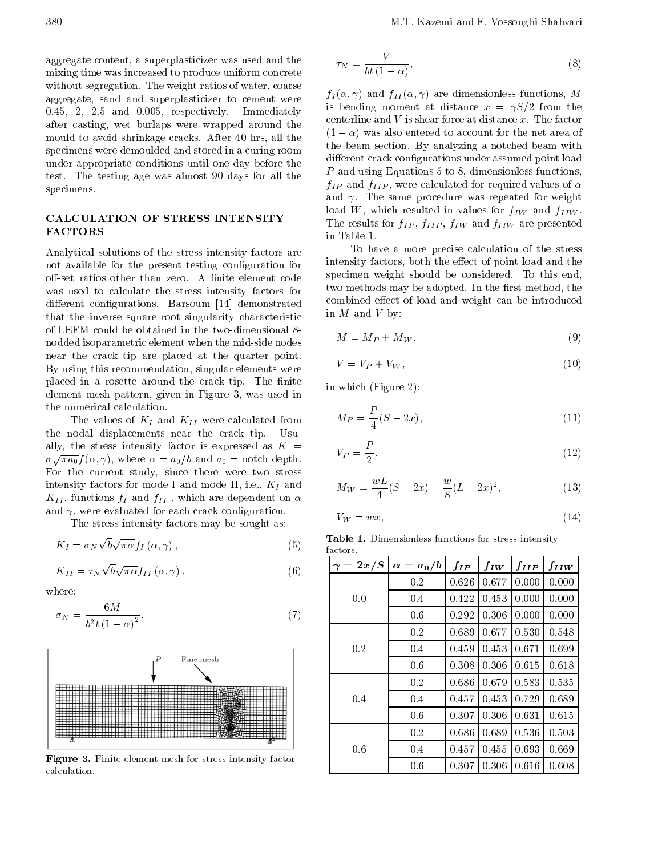aggregate content, a superplasticizer was used and the mixing time was increased to produce uniform concrete without segregation. The weight ratios of water, coarse aggregate, sand and superplasticizer to cement were 0.45, 2, 2.5 and 0.005, respectively. Immediately after casting, wet burlaps were wrapped around the mould to avoid shrinkage cracks. After 40 hrs, all the specimens were demoulded and stored in a curing room under appropriate conditions until one day before the test. The testing age was almost <sup>90</sup> days for all the specimens.

# CALCULATION OF STRESS INTENSITY FACTORS

Analytical solutions of the stress intensity factors are not available for the present testing configuration for off-set ratios other than zero. A finite element code was used to calculate the stress intensity factors for different configurations. Barsoum [14] demonstrated that the inverse square root singularity characteristic of LEFM could be obtained in the two-dimensional 8 nodded isoparametric element when the mid-side nodes near the crack tip are placed at the quarter point. By using this recommendation, singular elements were placed in a rosette around the crack tip. The finite element mesh pattern, given in Figure 3, was used in the numerical calculation.

The values of  $K_I$  and  $K_{II}$  were calculated from the nodal displacements near the crack tip. Usually, the stress intensity factor is expressed as  $K =$  $\sigma \sqrt{\pi a_0} f(\alpha, \gamma)$ , where  $\alpha = a_0/b$  and  $a_0 =$  notch depth. For the current study, since there were two stress intensity factors for mode I and mode II, i.e.,  $K_I$  and  $K_{II}$ , functions  $f_I$  and  $f_{II}$ , which are dependent on  $\alpha$ and  $\gamma$ , were evaluated for each crack configuration.

The stress intensity factors may be sought as:

$$
K_{I} = \sigma_{N} \sqrt{b} \sqrt{\pi \alpha} f_{I} \left( \alpha, \gamma \right), \tag{5}
$$

$$
K_{II} = \tau_N \sqrt{b} \sqrt{\pi \alpha} f_{II}(\alpha, \gamma), \qquad (6)
$$

where:

$$
\sigma_N = \frac{6M}{b^2t\left(1-\alpha\right)^2},\tag{7}
$$



Figure 3. Finite element mesh for stress intensity factor calculation.

$$
\tau_N = \frac{V}{bt(1-\alpha)},\tag{8}
$$

 $f_I(\alpha, \gamma)$  and  $f_{II}(\alpha, \gamma)$  are dimensionless functions, M is bending moment at distance  $x = \gamma S/2$  from the centerline and  $V$  is shear force at distance  $x$ . The factor  $(1 - \alpha)$  was also entered to account for the net area of the beam section. By analyzing a notched beam with different crack configurations under assumed point load P and using Equations 5 to 8, dimensionless functions,  $f_{IP}$  and  $f_{IIP}$ , were calculated for required values of  $\alpha$ and  $\gamma$ . The same procedure was repeated for weight load W, which resulted in values for  $f_{IW}$  and  $f_{IIW}$ . The results for  $f_{IP}$ ,  $f_{IIP}$ ,  $f_{IW}$  and  $f_{IIW}$  are presented in Table 1.

To have <sup>a</sup> more precise calculation of the stress intensity factors, both the effect of point load and the specimen weight should be considered. To this end, two methods may be adopted. In the first method, the combined effect of load and weight can be introduced in  $M$  and  $V$  by:

$$
M = M_P + M_W, \t\t(9)
$$

$$
V = V_P + V_W, \t\t(10)
$$

in which (Figure 2):

$$
M_P = \frac{P}{4}(S - 2x),\tag{11}
$$

$$
V_P = \frac{P}{2},\tag{12}
$$

$$
M_W = \frac{wL}{4}(S - 2x) - \frac{w}{8}(L - 2x)^2,
$$
\n(13)

$$
V_W = wx,\tag{14}
$$

Table 1. Dimensionless functions for stress intensity factors.

| $\gamma = 2x/S\, \,\alpha = a_0/b$ |     | $f_{IP}$ | $f_{IW}$ | $f_{IIP}$ | $f_{IIW}$ |
|------------------------------------|-----|----------|----------|-----------|-----------|
|                                    | 0.2 | 0.626    | 0.677    | 0.000     | 0.000     |
| 0.0                                | 0.4 | 0.422    | 0.453    | 0.000     | 0.000     |
|                                    | 0.6 | 0.292    | 0.306    | 0.000     | 0.000     |
|                                    | 0.2 | 0.689    | 0.677    | 0.530     | 0.548     |
| 0.2                                | 0.4 | 0.459    | 0.453    | 0.671     | 0.699     |
|                                    | 0.6 | 0.308    | 0.306    | 0.615     | 0.618     |
|                                    | 0.2 | 0.686    | 0.679    | 0.583     | 0.535     |
| 0.4                                | 0.4 | 0.457    | 0.453    | 0.729     | 0.689     |
|                                    | 0.6 | 0.307    | 0.306    | 0.631     | 0.615     |
|                                    | 0.2 | 0.686    | 0.689    | 0.536     | 0.503     |
| 0.6                                | 0.4 | 0.457    | 0.455    | 0.693     | 0.669     |
|                                    | 0.6 | 0.307    | 0.306    | 0.616     | 0.608     |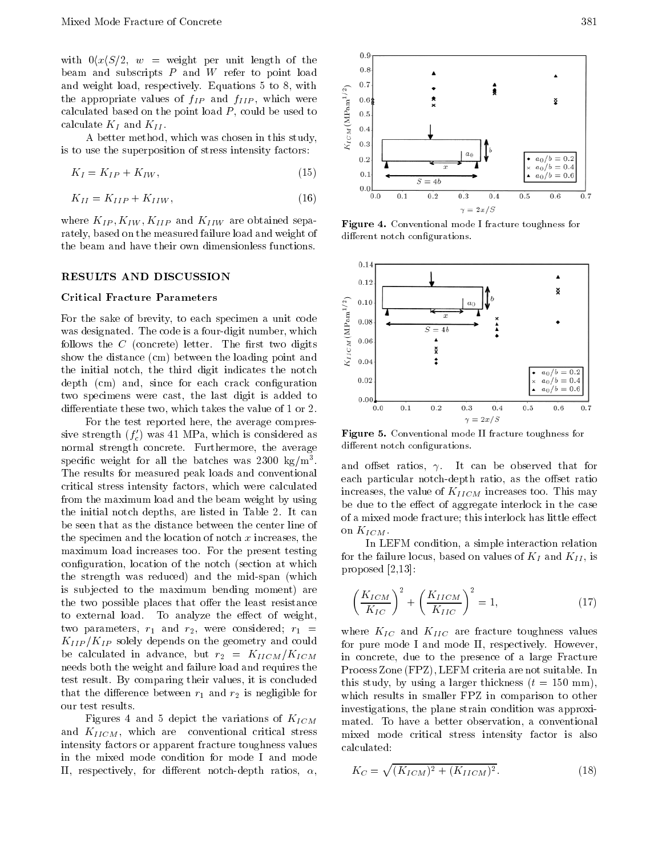with  $0\langle x|S/2, w =$  weight per unit length of the beam and subscripts  $P$  and  $W$  refer to point load and weight load, respectively. Equations 5 to 8, with<br>the appropriate values of  $f_{IP}$  and  $f_{IIP}$ , which were<br>calculated based on the point load P, could be used to<br>calculate  $K_I$  and  $K_{II}$ .<br>A better method, which was c the appropriate values of  $f_{IP}$  and  $f_{IIP}$ , which were calculated based on the point load  $P$ , could be used to calculate  $K_I$  and  $K_{II}$ .

<sup>A</sup> better method, which was chosen in this study, is to use the superposition of stress intensity factors:

$$
K_I = K_{IP} + K_{IW},\tag{15}
$$

$$
K_{II} = K_{IIP} + K_{IIW},\tag{16}
$$

where  $K_{IP}, K_{IW}, K_{IIIP}$  and  $K_{IIW}$  are obtained separately, based on the measured failure load and weight of the beam and have their own dimensionless functions.

#### RESULTS AND DISCUSSION

#### Critical Fracture Parameters

**Critical Fracture Farameters**<br>For the sake of brevity, to each specimen a unit code<br>was designated. The code is a four-digit number, which<br>follows the *C* (concrete) letter. The first two digits<br>show the distance (cm) be was designated. The code is a four-digit number, which follows the  $C$  (concrete) letter. The first two digits show the distance (cm) between the loading point and  $\frac{3}{5}$  0.04 the initial notch, the third digit indicates the notch depth (cm) and, since for each crack configuration two specimens were cast, the last digit is added to  $_{0.00}$ differentiate these two, which takes the value of 1 or 2.

For the test reported here, the average compressive strength  $(f'_c)$  was 41 MPa, which is considered as normal strength concrete. Furthermore, the average  $\rm s\,p\,e\,cm\,c$  weight for all the batches was 2500 kg/m3. The results for measured peak loads and conventional critical stress intensity factors, which were calculated from the maximum load and the beam weight by using the initial notch depths, are listed in Table 2.It can be seen that as the distance between the center line of the specimen and the location of notch  $x$  increases, the maximum load increases too. For the present testing configuration, location of the notch (section at which the strength was reduced) and the mid-span (which is sub jected to the maximum bending moment) are the two possible places that offer the least resistance to external load. To analyze the effect of weight, two parameters,  $r_1$  and  $r_2$ , were considered;  $r_1$  =  $K_{IIP}/K_{IP}$  solely depends on the geometry and could be calculated in advance, but  $r_2 = K_{IICM}/K_{ICM}$ needs both the weight and failure load and requires the test result. By comparing their values, it is concluded that the difference between  $r_1$  and  $r_2$  is negligible for our test results.

Figures 4 and 5 depict the variations of  $K_{ICM}$ and  $K_{IICM}$ , which are conventional critical stress intensity factors or apparent fracture toughness values in the mixed mode condition for mode <sup>I</sup> and mode II, respectively, for different notch-depth ratios,  $\alpha$ ,



Figure 4. Conventional mode I fracture toughness for different notch configurations.



Figure 5. Conventional mode II fracture toughness for different notch configurations.

and offset ratios,  $\gamma$ . It can be observed that for each particular notch-depth ratio, as the offset ratio increases, the value of  $K_{IICM}$  increases too. This may be due to the effect of aggregate interlock in the case of a mixed mode fracture; this interlock has little effect on  $K_{ICM}$ .

In LEFM condition, a simple interaction relation for the failure locus, based on values of  $K_I$  and  $K_{II}$ , is proposed [2,13]:

$$
\left(\frac{K_{ICM}}{K_{IC}}\right)^2 + \left(\frac{K_{IICM}}{K_{IIC}}\right)^2 = 1,\tag{17}
$$

where  $K_{IC}$  and  $K_{IIC}$  are fracture toughness values for pure mode <sup>I</sup> and mode II, respectively. However, in concrete, due to the presence of <sup>a</sup> large Fracture Process Zone (FPZ), LEFM criteria are not suitable. In this study, by using a larger thickness  $(t = 150 \text{ mm})$ , which results in smaller FPZ in comparison to other investigations, the plane strain condition was approximated. To have <sup>a</sup> better observation, <sup>a</sup> conventional mixed mode critical stress intensity factor is also calculated:

$$
K_C = \sqrt{(K_{ICM})^2 + (K_{IICM})^2}.
$$
\n(18)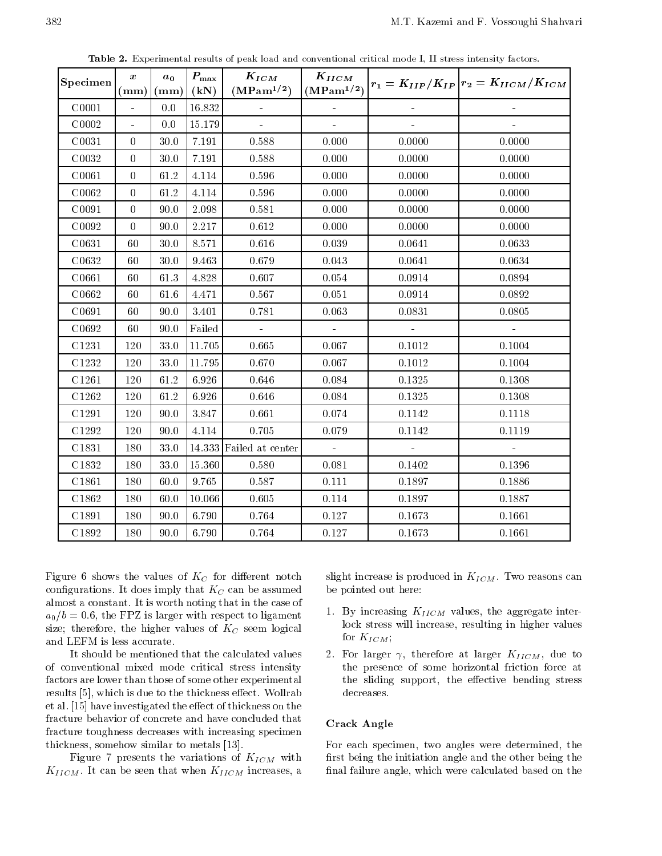| Specimen | $\boldsymbol{x}$<br>(mm) | $a_0$<br>$(\text{mm})$ | $\boldsymbol{P_{\max}}$<br>(kN) | $K_{ICM}$<br>$(MPam^{1/2})$ | $K_{IICM}$<br>$(MPam^{1/2})$ |          | $r_1 = K_{IIP}/K_{IP} r_2 = K_{IICM}/K_{ICM}$ |
|----------|--------------------------|------------------------|---------------------------------|-----------------------------|------------------------------|----------|-----------------------------------------------|
| C0001    |                          | 0.0                    | 16.832                          |                             |                              |          |                                               |
| C0002    | $\omega$                 | 0.0                    | 15.179                          | $\omega$                    | $\mathbf{r}$                 |          |                                               |
| C0031    | 0                        | 30.0                   | 7.191                           | 0.588                       | 0.000                        | 0.0000   | 0.0000                                        |
| C0032    | $\overline{0}$           | 30.0                   | 7.191                           | 0.588                       | 0.000                        | 0.0000   | 0.0000                                        |
| C0061    | $\overline{0}$           | 61.2                   | 4.114                           | 0.596                       | 0.000                        | 0.0000   | 0.0000                                        |
| C0062    | $\boldsymbol{0}$         | 61.2                   | 4.114                           | 0.596                       | 0.000                        | 0.0000   | 0.0000                                        |
| C0091    | $\Omega$                 | 90.0                   | 2.098                           | 0.581                       | 0.000                        | 0.0000   | 0.0000                                        |
| C0092    | $\overline{0}$           | 90.0                   | 2.217                           | 0.612                       | 0.000                        | 0.0000   | 0.0000                                        |
| C0631    | 60                       | 30.0                   | 8.571                           | 0.616                       | 0.039                        | 0.0641   | 0.0633                                        |
| C0632    | 60                       | 30.0                   | 9.463                           | 0.679                       | 0.043                        | 0.0641   | 0.0634                                        |
| C0661    | 60                       | 61.3                   | 4.828                           | 0.607                       | 0.054                        | 0.0914   | 0.0894                                        |
| CO662    | 60                       | 61.6                   | 4.471                           | 0.567                       | 0.051                        | 0.0914   | 0.0892                                        |
| C0691    | 60                       | 90.0                   | 3.401                           | 0.781                       | 0.063                        | 0.0831   | 0.0805                                        |
| C0692    | 60                       | 90.0                   | Failed                          | $\omega^{\pm}$              | $\sim$                       | $\omega$ | $\omega$                                      |
| C1231    | 120                      | 33.0                   | 11.705                          | 0.665                       | 0.067                        | 0.1012   | 0.1004                                        |
| C1232    | 120                      | 33.0                   | 11.795                          | 0.670                       | 0.067                        | 0.1012   | 0.1004                                        |
| C1261    | 120                      | 61.2                   | 6.926                           | 0.646                       | 0.084                        | 0.1325   | 0.1308                                        |
| C1262    | 120                      | 61.2                   | 6.926                           | 0.646                       | 0.084                        | 0.1325   | 0.1308                                        |
| C1291    | 120                      | 90.0                   | 3.847                           | 0.661                       | 0.074                        | 0.1142   | 0.1118                                        |
| C1292    | 120                      | 90.0                   | 4.114                           | 0.705                       | 0.079                        | 0.1142   | 0.1119                                        |
| C1831    | 180                      | 33.0                   |                                 | $14.333$ Failed at center   |                              | $\omega$ |                                               |
| C1832    | 180                      | 33.0                   | 15.360                          | 0.580                       | 0.081                        | 0.1402   | 0.1396                                        |
| C1861    | 180                      | 60.0                   | 9.765                           | 0.587                       | 0.111                        | 0.1897   | 0.1886                                        |
| C1862    | 180                      | 60.0                   | 10.066                          | 0.605                       | 0.114                        | 0.1897   | 0.1887                                        |
| C1891    | 180                      | 90.0                   | 6.790                           | 0.764                       | 0.127                        | 0.1673   | 0.1661                                        |
| C1892    | 180                      | 90.0                   | 6.790                           | 0.764                       | 0.127                        | 0.1673   | 0.1661                                        |

Table 2. Experimental results of peak load and conventional critical mode I, II stress intensity factors.

Figure 6 shows the values of  $K_C$  for different notch configurations. It does imply that  $K_C$  can be assumed almost a constant. It is worth noting that in the case of  $a_0/b = 0.6$ , the FPZ is larger with respect to ligament size; therefore, the higher values of  $K_C$  seem logical and LEFM is less accurate.

It should be mentioned that the calculated values of conventional mixed mode critical stress intensity factors are lower than those of some other experimental results [5], which is due to the thickness effect. Wollrab et al. [15] have investigated the effect of thickness on the fracture behavior of concrete and have concluded that fracture toughness decreases with increasing specimen thickness, somehow similar to metals [13].

Figure 7 presents the variations of  $K_{ICM}$  with  $K_{IICM}$ . It can be seen that when  $K_{IICM}$  increases, a slight increase is produced in  $K_{ICM}$ . Two reasons can be pointed out here:

- 1. By increasing  $K_{IICM}$  values, the aggregate interlock stress will increase, resulting in higher values for  $K_{ICM}$ ;
- 2. For larger  $\gamma$ , therefore at larger  $K_{IICM}$ , due to the presence of some horizontal friction force at the sliding support, the effective bending stress decreases.

#### Crack Angle

For each specimen, two angles were determined, the first being the initiation angle and the other being the final failure angle, which were calculated based on the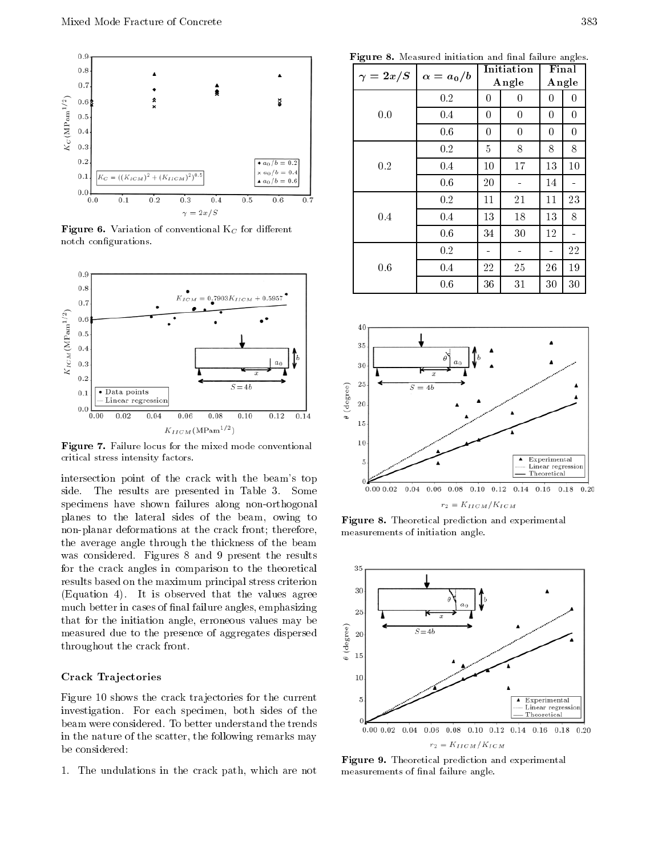

Figure 6. Variation of conventional KC for dierent notch configurations.



Figure 7. Failure locus for the mixed mode conventional critical stress intensity factors.

intersection point of the crack with the beam's top side. The results are presented in Table 3. Some specimens have shown failures along non-orthogonal planes to the lateral sides of the beam, owing to non-planar deformations at the crack front; therefore, the average angle through the thickness of the beam was considered. Figures <sup>8</sup> and <sup>9</sup> present the results for the crack angles in comparison to the theoretical results based on the maximum principal stress criterion<br>(Equation 4) It is observed that the values somes 30 (Equation 4). It is observed that the values agree much better in cases of final failure angles, emphasizing  $_{25}$ that for the initiation angle, erroneous values may be measured due to the presence of aggregates dispersed<br>throughout the crack front. measured due to the presence of aggregates dispersed throughout the crack front.

#### Crack Trajectories

Figure 10 shows the crack trajectories for the current investigation. For each specimen, both sides of the beam were considered. To better understand the trends in the nature of the scatter, the following remarks may be considered:

1. The undulations in the crack path, which are not

Figure 8. Measured initiation and nal failure angles.

| $\gamma=2x/S$ | $\alpha = a_0/b$ | Initiation<br>Angle |                | Final<br>Angle |    |
|---------------|------------------|---------------------|----------------|----------------|----|
| 0.0           | 0.2              | 0                   | 0              | 0              | 0  |
|               | 0.4              | 0                   | 0              | $\theta$       | 0  |
|               | 0.6              | 0                   | $\overline{0}$ | 0              | 0  |
| 0.2           | 0.2              | 5                   | 8              | 8              | 8  |
|               | 0.4              | 10                  | 17             | 13             | 10 |
|               | 0.6              | 20                  |                | 14             |    |
| 0.4           | 0.2              | 11                  | 21             | 11             | 23 |
|               | 0.4              | 13                  | 18             | 13             | 8  |
|               | 0.6              | 34                  | 30             | 12             |    |
| 0.6           | 0.2              |                     |                |                | 22 |
|               | 0.4              | 22                  | 25             | 26             | 19 |
|               | 0.6              | 36                  | 31             | 30             | 30 |



 $\mathbf{F}$   $\mathbf{F}$  and  $\mathbf{F}$  are different and experimental properties and experimental experimental properties are different and  $\mathbf{F}$ measurements of initiation angle.



 $\mathbf{F}$   $\mathbf{F}$  and  $\mathbf{F}$  are different and experimental production and experimental experimental production and  $\mathbf{F}$ measurements of final failure angle.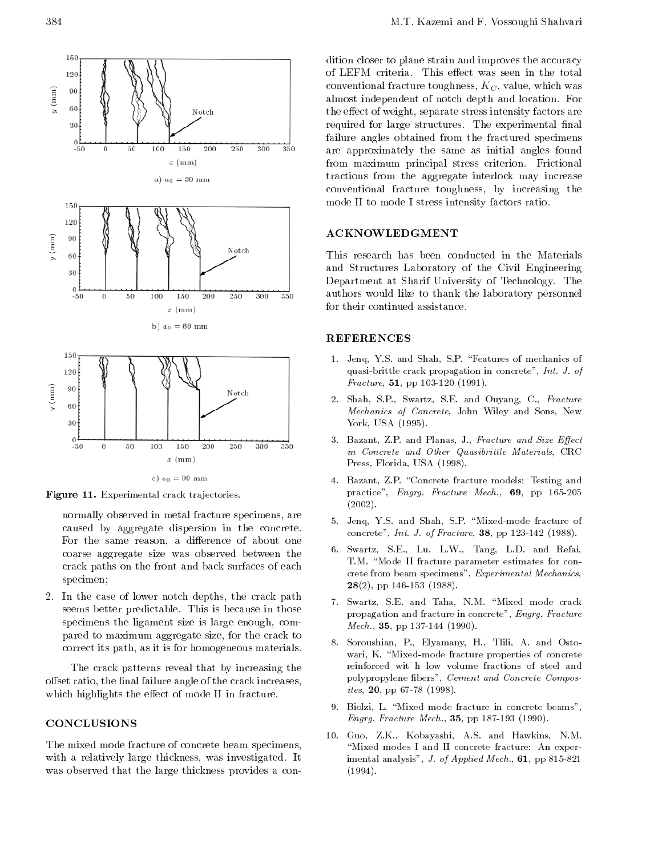

Figure 11. Experimental crack tra jectories.

normally observed in metal fracture specimens, are caused by aggregate dispersion in the concrete. For the same reason, a difference of about one coarse aggregate size was observed between the crack paths on the front and back surfaces of each specimen;

2. In the case of lower notch depths, the crack path seems better predictable. This is because in those specimens the ligament size is large enough, compared to maximum aggregate size, for the crack to correct its path, as it is for homogeneous materials.

The crack patterns reveal that by increasing the offset ratio, the final failure angle of the crack increases, which highlights the effect of mode II in fracture.

## **CONCLUSIONS**

The mixed mode fracture of concrete beam specimens, with <sup>a</sup> relatively large thickness, was investigated. It was observed that the large thickness provides a condition closer to plane strain and improves the accuracy of LEFM criteria. This effect was seen in the total conventional fracture toughness,  $K_C$ , value, which was almost independent of notch depth and location. For the effect of weight, separate stress intensity factors are required for large structures. The experimental final failure angles obtained from the fractured specimens are approximately the same as initial angles found from maximum principal stress criterion. Frictional tractions from the aggregate interlock may increase conventional fracture toughness, by increasing the mode II to mode I stress intensity factors ratio.

#### ACKNOWLEDGMENT

This research has been conducted in the Materials and Structures Laboratory of the Civil Engineering Department at Sharif University of Technology. The authors would like to thank the laboratory personnel for their continued assistance.

# **REFERENCES**

- 1. Jenq, Y.S. and Shah, S.P. "Features of mechanics of quasi-brittle crack propagation in concrete", Int. J. of Fracture,  $51$ , pp 103-120 (1991).
- 2. Shah, S.P., Swartz, S.E. and Ouyang, C., Fracture Mechanics of Concrete, John Wiley and Sons, New York, USA (1995).
- 3. Bazant, Z.P. and Planas, J., Fracture and Size Effect in Concrete and Other Quasibrittle Materials, CRC Press, Florida, USA (1998).
- 4. Bazant, Z.P. "Concrete fracture models: Testing and practice", Engrg. Fracture Mech., 69, pp 165-205 (2002).
- 5. Jenq, Y.S. and Shah, S.P. "Mixed-mode fracture of concrete", Int. J. of Fracture, 38, pp 123-142 (1988).
- 6. Swartz, S.E., Lu, L.W., Tang, L.D. and Refai, T.M. "Mode II fracture parameter estimates for concrete from beam specimens", Experimental Mechanics,  $28(2)$ , pp 146-153 (1988).
- 7. Swartz, S.E. and Taha, N.M. "Mixed mode crack propagation and fracture in concrete", Engrg. Fracture Mech., 35, pp 137-144 (1990).
- 8. Soroushian, P., Elyamany, H., Tlili, A. and Osto wari, K. "Mixed-mode fracture properties of concrete reinforced wit <sup>h</sup> low volume fractions of steel and polypropylene bers", Cement and Concrete Composites, 20, pp 67-78 (1998).
- 9. Biolzi, L. "Mixed mode fracture in concrete beams", Engrg. Fracture Mech., 35, pp 187-193 (1990).
- 10. Guo, Z.K., Kobayashi, A.S. and Hawkins, N.M. "Mixed modes I and II concrete fracture: An experimental analysis", J. of Applied Mech.,  $61$ , pp 815-821 (1994).